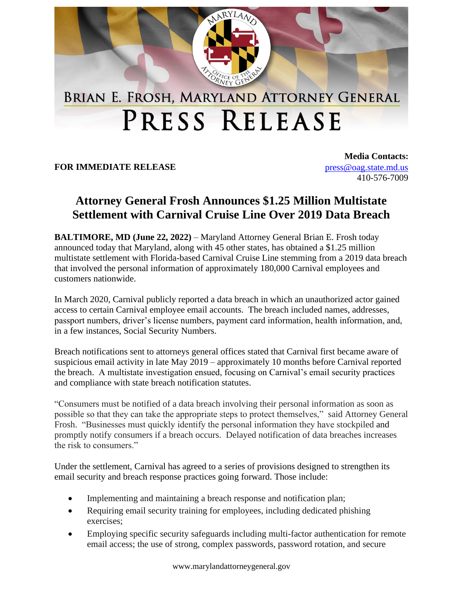

## PRESS RELEASE

**FOR IMMEDIATE RELEASE**

**Media Contacts:** [press@oag.state.md.us](mailto:press@oag.state.md.us) 410-576-7009

## **Attorney General Frosh Announces \$1.25 Million Multistate Settlement with Carnival Cruise Line Over 2019 Data Breach**

**BALTIMORE, MD (June 22, 2022)** – Maryland Attorney General Brian E. Frosh today announced today that Maryland, along with 45 other states, has obtained a \$1.25 million multistate settlement with Florida-based Carnival Cruise Line stemming from a 2019 data breach that involved the personal information of approximately 180,000 Carnival employees and customers nationwide.

In March 2020, Carnival publicly reported a data breach in which an unauthorized actor gained access to certain Carnival employee email accounts. The breach included names, addresses, passport numbers, driver's license numbers, payment card information, health information, and, in a few instances, Social Security Numbers.

Breach notifications sent to attorneys general offices stated that Carnival first became aware of suspicious email activity in late May 2019 – approximately 10 months before Carnival reported the breach. A multistate investigation ensued, focusing on Carnival's email security practices and compliance with state breach notification statutes.

"Consumers must be notified of a data breach involving their personal information as soon as possible so that they can take the appropriate steps to protect themselves," said Attorney General Frosh. "Businesses must quickly identify the personal information they have stockpiled and promptly notify consumers if a breach occurs. Delayed notification of data breaches increases the risk to consumers."

Under the settlement, Carnival has agreed to a series of provisions designed to strengthen its email security and breach response practices going forward. Those include:

- Implementing and maintaining a breach response and notification plan;
- Requiring email security training for employees, including dedicated phishing exercises;
- Employing specific security safeguards including multi-factor authentication for remote email access; the use of strong, complex passwords, password rotation, and secure